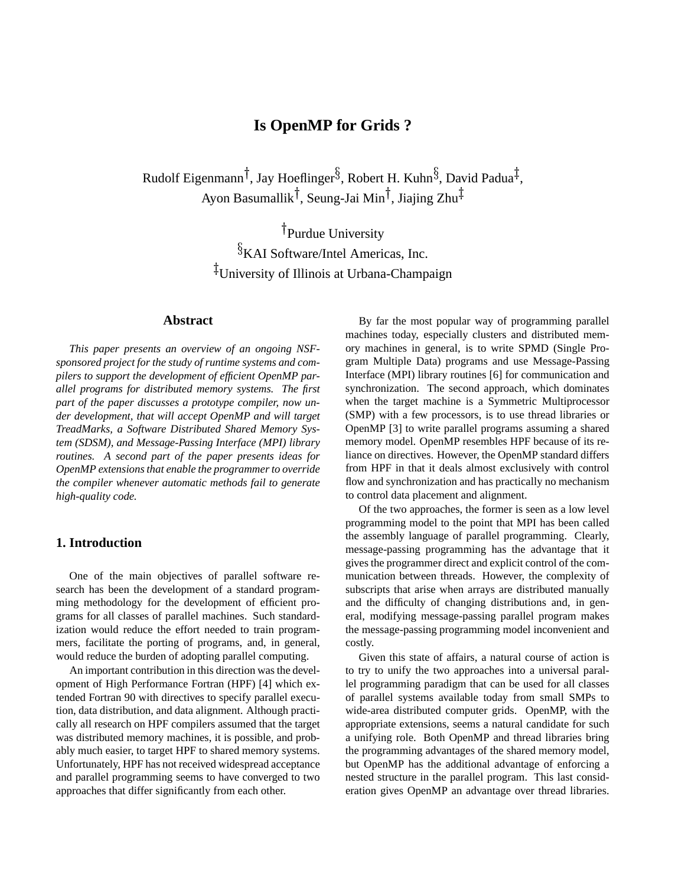# **Is OpenMP for Grids ?**

Rudolf Eigenmann<sup>†</sup>, Jay Hoeflinger<sup>§</sup>, Robert H. Kuhn<sup>§</sup>, David Padua<sup>‡</sup>, Ayon Basumallik<sup>†</sup>, Seung-Jai Min<sup>†</sup>, Jiajing Zhu

<sup>†</sup>Purdue University

 $\S$ KAI Software/Intel Americas, Inc. - University of Illinois at Urbana-Champaign

# **Abstract**

*This paper presents an overview of an ongoing NSFsponsored project for the study of runtime systems and compilers to support the development of efficient OpenMP parallel programs for distributed memory systems. The first part of the paper discusses a prototype compiler, now under development, that will accept OpenMP and will target TreadMarks, a Software Distributed Shared Memory System (SDSM), and Message-Passing Interface (MPI) library routines. A second part of the paper presents ideas for OpenMP extensionsthat enable the programmerto override the compiler whenever automatic methods fail to generate high-quality code.*

# **1. Introduction**

One of the main objectives of parallel software research has been the development of a standard programming methodology for the development of efficient programs for all classes of parallel machines. Such standardization would reduce the effort needed to train programmers, facilitate the porting of programs, and, in general, would reduce the burden of adopting parallel computing.

An important contribution in this direction was the development of High Performance Fortran (HPF) [4] which extended Fortran 90 with directives to specify parallel execution, data distribution, and data alignment. Although practically all research on HPF compilers assumed that the target was distributed memory machines, it is possible, and probably much easier, to target HPF to shared memory systems. Unfortunately, HPF has not received widespread acceptance and parallel programming seems to have converged to two approaches that differ significantly from each other.

By far the most popular way of programming parallel machines today, especially clusters and distributed memory machines in general, is to write SPMD (Single Program Multiple Data) programs and use Message-Passing Interface (MPI) library routines [6] for communication and synchronization. The second approach, which dominates when the target machine is a Symmetric Multiprocessor (SMP) with a few processors, is to use thread libraries or OpenMP [3] to write parallel programs assuming a shared memory model. OpenMP resembles HPF because of its reliance on directives. However, the OpenMP standard differs from HPF in that it deals almost exclusively with control flow and synchronization and has practically no mechanism to control data placement and alignment.

Of the two approaches, the former is seen as a low level programming model to the point that MPI has been called the assembly language of parallel programming. Clearly, message-passing programming has the advantage that it gives the programmer direct and explicit control of the communication between threads. However, the complexity of subscripts that arise when arrays are distributed manually and the difficulty of changing distributions and, in general, modifying message-passing parallel program makes the message-passing programming model inconvenient and costly.

Given this state of affairs, a natural course of action is to try to unify the two approaches into a universal parallel programming paradigm that can be used for all classes of parallel systems available today from small SMPs to wide-area distributed computer grids. OpenMP, with the appropriate extensions, seems a natural candidate for such a unifying role. Both OpenMP and thread libraries bring the programming advantages of the shared memory model, but OpenMP has the additional advantage of enforcing a nested structure in the parallel program. This last consideration gives OpenMP an advantage over thread libraries.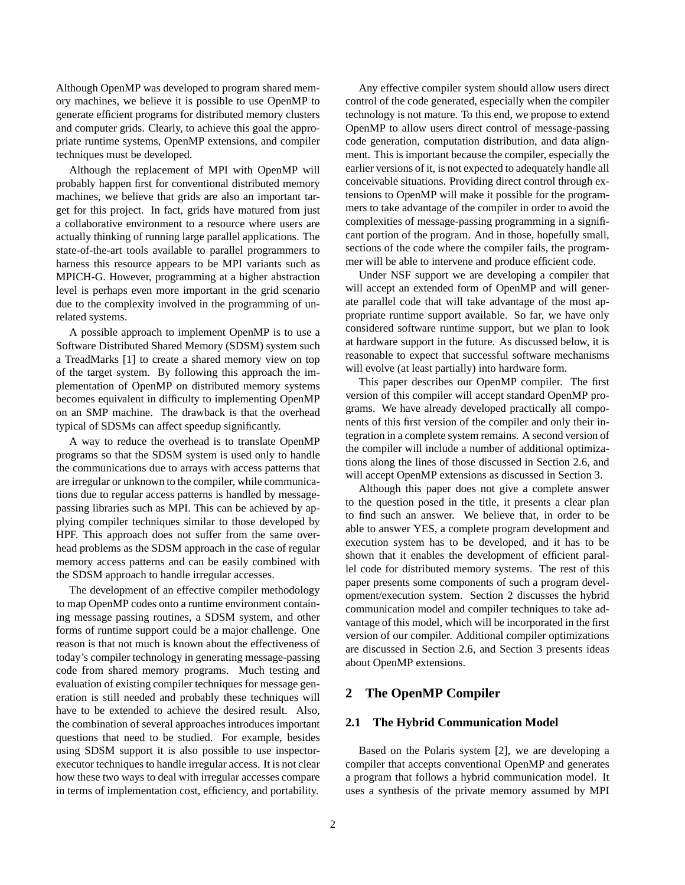Although OpenMP was developed to program shared memory machines, we believe it is possible to use OpenMP to generate efficient programs for distributed memory clusters and computer grids. Clearly, to achieve this goal the appropriate runtime systems, OpenMP extensions, and compiler techniques must be developed.

Although the replacement of MPI with OpenMP will probably happen first for conventional distributed memory machines, we believe that grids are also an important target for this project. In fact, grids have matured from just a collaborative environment to a resource where users are actually thinking of running large parallel applications. The state-of-the-art tools available to parallel programmers to harness this resource appears to be MPI variants such as MPICH-G. However, programming at a higher abstraction level is perhaps even more important in the grid scenario due to the complexity involved in the programming of unrelated systems.

A possible approach to implement OpenMP is to use a Software Distributed Shared Memory (SDSM) system such a TreadMarks [1] to create a shared memory view on top of the target system. By following this approach the implementation of OpenMP on distributed memory systems becomes equivalent in difficulty to implementing OpenMP on an SMP machine. The drawback is that the overhead typical of SDSMs can affect speedup significantly.

A way to reduce the overhead is to translate OpenMP programs so that the SDSM system is used only to handle the communications due to arrays with access patterns that are irregular or unknown to the compiler, while communications due to regular access patterns is handled by messagepassing libraries such as MPI. This can be achieved by applying compiler techniques similar to those developed by HPF. This approach does not suffer from the same overhead problems as the SDSM approach in the case of regular memory access patterns and can be easily combined with the SDSM approach to handle irregular accesses.

The development of an effective compiler methodology to map OpenMP codes onto a runtime environment containing message passing routines, a SDSM system, and other forms of runtime support could be a major challenge. One reason is that not much is known about the effectiveness of today's compiler technology in generating message-passing code from shared memory programs. Much testing and evaluation of existing compiler techniques for message generation is still needed and probably these techniques will have to be extended to achieve the desired result. Also, the combination of several approaches introduces important questions that need to be studied. For example, besides using SDSM support it is also possible to use inspectorexecutor techniques to handle irregular access. It is not clear how these two ways to deal with irregular accesses compare in terms of implementation cost, efficiency, and portability.

Any effective compiler system should allow users direct control of the code generated, especially when the compiler technology is not mature. To this end, we propose to extend OpenMP to allow users direct control of message-passing code generation, computation distribution, and data alignment. This is important because the compiler, especially the earlier versions of it, is not expected to adequately handle all conceivable situations. Providing direct control through extensions to OpenMP will make it possible for the programmers to take advantage of the compiler in order to avoid the complexities of message-passing programming in a significant portion of the program. And in those, hopefully small, sections of the code where the compiler fails, the programmer will be able to intervene and produce efficient code.

Under NSF support we are developing a compiler that will accept an extended form of OpenMP and will generate parallel code that will take advantage of the most appropriate runtime support available. So far, we have only considered software runtime support, but we plan to look at hardware support in the future. As discussed below, it is reasonable to expect that successful software mechanisms will evolve (at least partially) into hardware form.

This paper describes our OpenMP compiler. The first version of this compiler will accept standard OpenMP programs. We have already developed practically all components of this first version of the compiler and only their integration in a complete system remains. A second version of the compiler will include a number of additional optimizations along the lines of those discussed in Section 2.6, and will accept OpenMP extensions as discussed in Section 3.

Although this paper does not give a complete answer to the question posed in the title, it presents a clear plan to find such an answer. We believe that, in order to be able to answer YES, a complete program development and execution system has to be developed, and it has to be shown that it enables the development of efficient parallel code for distributed memory systems. The rest of this paper presents some components of such a program development/execution system. Section 2 discusses the hybrid communication model and compiler techniques to take advantage of this model, which will be incorporated in the first version of our compiler. Additional compiler optimizations are discussed in Section 2.6, and Section 3 presents ideas about OpenMP extensions.

### **2 The OpenMP Compiler**

#### **2.1 The Hybrid Communication Model**

Based on the Polaris system [2], we are developing a compiler that accepts conventional OpenMP and generates a program that follows a hybrid communication model. It uses a synthesis of the private memory assumed by MPI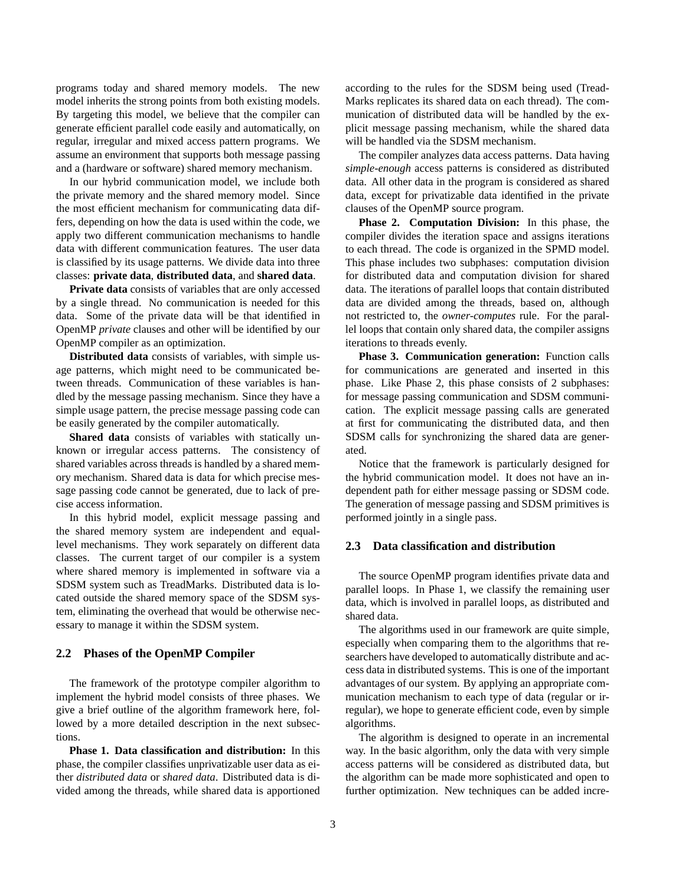programs today and shared memory models. The new model inherits the strong points from both existing models. By targeting this model, we believe that the compiler can generate efficient parallel code easily and automatically, on regular, irregular and mixed access pattern programs. We assume an environment that supports both message passing and a (hardware or software) shared memory mechanism.

In our hybrid communication model, we include both the private memory and the shared memory model. Since the most efficient mechanism for communicating data differs, depending on how the data is used within the code, we apply two different communication mechanisms to handle data with different communication features. The user data is classified by its usage patterns. We divide data into three classes: **private data**, **distributed data**, and **shared data**.

**Private data** consists of variables that are only accessed by a single thread. No communication is needed for this data. Some of the private data will be that identified in OpenMP *private* clauses and other will be identified by our OpenMP compiler as an optimization.

**Distributed data** consists of variables, with simple usage patterns, which might need to be communicated between threads. Communication of these variables is handled by the message passing mechanism. Since they have a simple usage pattern, the precise message passing code can be easily generated by the compiler automatically.

**Shared data** consists of variables with statically unknown or irregular access patterns. The consistency of shared variables across threads is handled by a shared memory mechanism. Shared data is data for which precise message passing code cannot be generated, due to lack of precise access information.

In this hybrid model, explicit message passing and the shared memory system are independent and equallevel mechanisms. They work separately on different data classes. The current target of our compiler is a system where shared memory is implemented in software via a SDSM system such as TreadMarks. Distributed data is located outside the shared memory space of the SDSM system, eliminating the overhead that would be otherwise necessary to manage it within the SDSM system.

#### **2.2 Phases of the OpenMP Compiler**

The framework of the prototype compiler algorithm to implement the hybrid model consists of three phases. We give a brief outline of the algorithm framework here, followed by a more detailed description in the next subsections.

**Phase 1. Data classification and distribution:** In this phase, the compiler classifies unprivatizable user data as either *distributed data* or *shared data*. Distributed data is divided among the threads, while shared data is apportioned according to the rules for the SDSM being used (Tread-Marks replicates its shared data on each thread). The communication of distributed data will be handled by the explicit message passing mechanism, while the shared data will be handled via the SDSM mechanism.

The compiler analyzes data access patterns. Data having *simple-enough* access patterns is considered as distributed data. All other data in the program is considered as shared data, except for privatizable data identified in the private clauses of the OpenMP source program.

**Phase 2. Computation Division:** In this phase, the compiler divides the iteration space and assigns iterations to each thread. The code is organized in the SPMD model. This phase includes two subphases: computation division for distributed data and computation division for shared data. The iterations of parallel loops that contain distributed data are divided among the threads, based on, although not restricted to, the *owner-computes* rule. For the parallel loops that contain only shared data, the compiler assigns iterations to threads evenly.

**Phase 3. Communication generation:** Function calls for communications are generated and inserted in this phase. Like Phase 2, this phase consists of 2 subphases: for message passing communication and SDSM communication. The explicit message passing calls are generated at first for communicating the distributed data, and then SDSM calls for synchronizing the shared data are generated.

Notice that the framework is particularly designed for the hybrid communication model. It does not have an independent path for either message passing or SDSM code. The generation of message passing and SDSM primitives is performed jointly in a single pass.

### **2.3 Data classification and distribution**

The source OpenMP program identifies private data and parallel loops. In Phase 1, we classify the remaining user data, which is involved in parallel loops, as distributed and shared data.

The algorithms used in our framework are quite simple, especially when comparing them to the algorithms that researchers have developed to automatically distribute and access data in distributed systems. This is one of the important advantages of our system. By applying an appropriate communication mechanism to each type of data (regular or irregular), we hope to generate efficient code, even by simple algorithms.

The algorithm is designed to operate in an incremental way. In the basic algorithm, only the data with very simple access patterns will be considered as distributed data, but the algorithm can be made more sophisticated and open to further optimization. New techniques can be added incre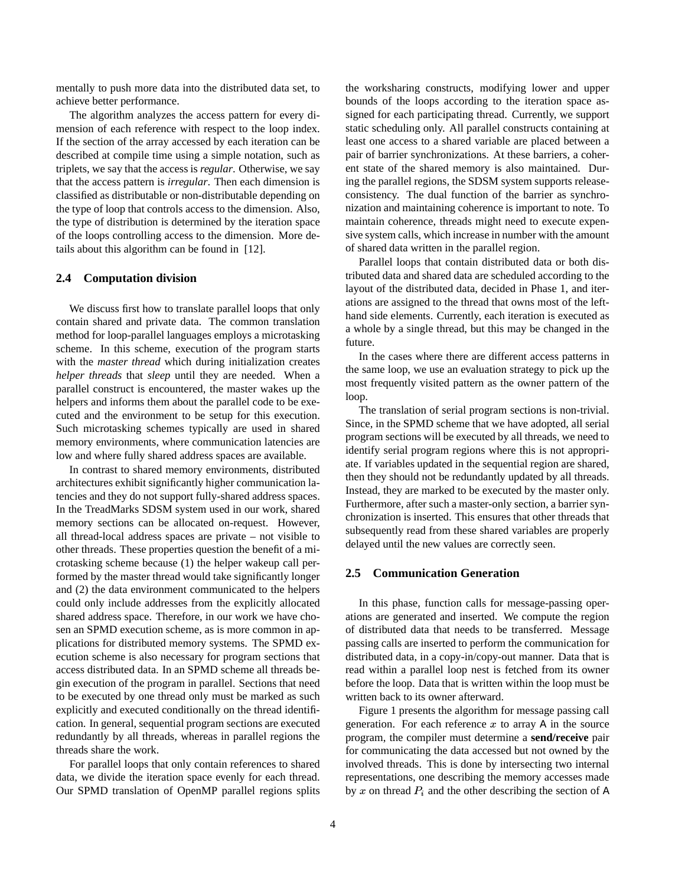mentally to push more data into the distributed data set, to achieve better performance.

The algorithm analyzes the access pattern for every dimension of each reference with respect to the loop index. If the section of the array accessed by each iteration can be described at compile time using a simple notation, such as triplets, we say that the access is *regular*. Otherwise, we say that the access pattern is *irregular*. Then each dimension is classified as distributable or non-distributable depending on the type of loop that controls access to the dimension. Also, the type of distribution is determined by the iteration space of the loops controlling access to the dimension. More details about this algorithm can be found in [12].

#### **2.4 Computation division**

We discuss first how to translate parallel loops that only contain shared and private data. The common translation method for loop-parallel languages employs a microtasking scheme. In this scheme, execution of the program starts with the *master thread* which during initialization creates *helper threads* that *sleep* until they are needed. When a parallel construct is encountered, the master wakes up the helpers and informs them about the parallel code to be executed and the environment to be setup for this execution. Such microtasking schemes typically are used in shared memory environments, where communication latencies are low and where fully shared address spaces are available.

In contrast to shared memory environments, distributed architectures exhibit significantly higher communication latencies and they do not support fully-shared address spaces. In the TreadMarks SDSM system used in our work, shared memory sections can be allocated on-request. However, all thread-local address spaces are private – not visible to other threads. These properties question the benefit of a microtasking scheme because (1) the helper wakeup call performed by the master thread would take significantly longer and (2) the data environment communicated to the helpers could only include addresses from the explicitly allocated shared address space. Therefore, in our work we have chosen an SPMD execution scheme, as is more common in applications for distributed memory systems. The SPMD execution scheme is also necessary for program sections that access distributed data. In an SPMD scheme all threads begin execution of the program in parallel. Sections that need to be executed by one thread only must be marked as such explicitly and executed conditionally on the thread identification. In general, sequential program sections are executed redundantly by all threads, whereas in parallel regions the threads share the work.

For parallel loops that only contain references to shared data, we divide the iteration space evenly for each thread. Our SPMD translation of OpenMP parallel regions splits

the worksharing constructs, modifying lower and upper bounds of the loops according to the iteration space assigned for each participating thread. Currently, we support static scheduling only. All parallel constructs containing at least one access to a shared variable are placed between a pair of barrier synchronizations. At these barriers, a coherent state of the shared memory is also maintained. During the parallel regions, the SDSM system supports releaseconsistency. The dual function of the barrier as synchronization and maintaining coherence is important to note. To maintain coherence, threads might need to execute expensive system calls, which increase in number with the amount of shared data written in the parallel region.

Parallel loops that contain distributed data or both distributed data and shared data are scheduled according to the layout of the distributed data, decided in Phase 1, and iterations are assigned to the thread that owns most of the lefthand side elements. Currently, each iteration is executed as a whole by a single thread, but this may be changed in the future.

In the cases where there are different access patterns in the same loop, we use an evaluation strategy to pick up the most frequently visited pattern as the owner pattern of the loop.

The translation of serial program sections is non-trivial. Since, in the SPMD scheme that we have adopted, all serial program sections will be executed by all threads, we need to identify serial program regions where this is not appropriate. If variables updated in the sequential region are shared, then they should not be redundantly updated by all threads. Instead, they are marked to be executed by the master only. Furthermore, after such a master-only section, a barrier synchronization is inserted. This ensures that other threads that subsequently read from these shared variables are properly delayed until the new values are correctly seen.

#### **2.5 Communication Generation**

In this phase, function calls for message-passing operations are generated and inserted. We compute the region of distributed data that needs to be transferred. Message passing calls are inserted to perform the communication for distributed data, in a copy-in/copy-out manner. Data that is read within a parallel loop nest is fetched from its owner before the loop. Data that is written within the loop must be written back to its owner afterward.

Figure 1 presents the algorithm for message passing call generation. For each reference  $x$  to array A in the source program, the compiler must determine a **send/receive** pair for communicating the data accessed but not owned by the involved threads. This is done by intersecting two internal representations, one describing the memory accesses made by x on thread  $P_i$  and the other describing the section of A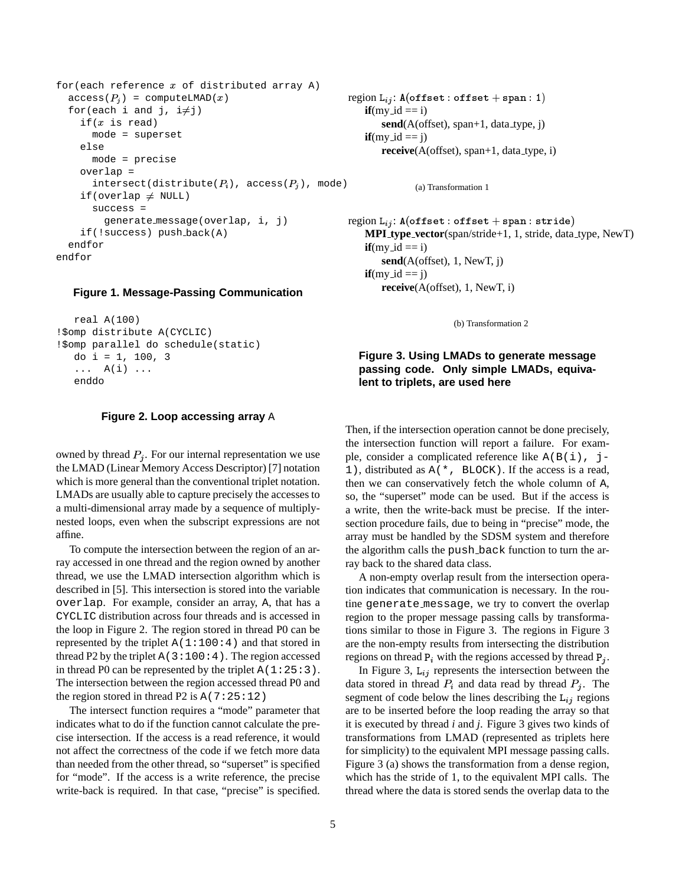```
for(each reference x of distributed array A)
  \texttt{access}(P_j) = \texttt{computeLMAD}(x)for(each i and j, i\neq j)
    if(x is read)mode = superset
    else
      mode = precise
    overlap =
      intersect(distribute(P_i), access(P_j), mode)
    if(overlap 
NULL)
      success =
        generate message(overlap, i, j)
    if(!success) push back(A)
  endfor
endfor
```
#### **Figure 1. Message-Passing Communication**

```
real A(100)
!$omp distribute A(CYCLIC)
!$omp parallel do schedule(static)
  do i = 1, 100, 3
  ... A(i) ...
  enddo
```
#### **Figure 2. Loop accessing array** A

owned by thread  $P_j$ . For our internal representation we use the LMAD (Linear Memory Access Descriptor) [7] notation which is more general than the conventional triplet notation. LMADs are usually able to capture precisely the accesses to a multi-dimensional array made by a sequence of multiplynested loops, even when the subscript expressions are not affine.

To compute the intersection between the region of an array accessed in one thread and the region owned by another thread, we use the LMAD intersection algorithm which is described in [5]. This intersection is stored into the variable overlap. For example, consider an array, A, that has a CYCLIC distribution across four threads and is accessed in the loop in Figure 2. The region stored in thread P0 can be represented by the triplet  $A(1:100:4)$  and that stored in thread P2 by the triplet  $A(3:100:4)$ . The region accessed in thread P0 can be represented by the triplet  $A(1:25:3)$ . The intersection between the region accessed thread P0 and the region stored in thread P2 is  $A(7:25:12)$ 

The intersect function requires a "mode" parameter that indicates what to do if the function cannot calculate the precise intersection. If the access is a read reference, it would not affect the correctness of the code if we fetch more data than needed from the other thread, so "superset" is specified for "mode". If the access is a write reference, the precise write-back is required. In that case, "precise" is specified.

```
\operatorname{region} \, \mathtt{L}_{ij} \colon \mathtt{A}(\texttt{offset} : \texttt{offset} + \texttt{span} : \mathtt{1})if(my_id == i)send(A(offset), span+1, data type, j)
    if(my id == j)
          receive(A(offset), span+1, data type, i)
```
(a) Transformation 1

```
\operatorname{region} \, \mathtt{L}_{ij} \colon \mathtt{A}(\mathtt{offset}:\mathtt{offset}+\mathtt{span}:\mathtt{stride})MPI type vector(span/stride+1, 1, stride, data type, NewT)
    if(my id == i)
         send(A(offset), 1, NewT, j)
    if(my_id == j)receive(A(offset), 1, NewT, i)
```
(b) Transformation 2

# **Figure 3. Using LMADs to generate message passing code. Only simple LMADs, equivalent to triplets, are used here**

Then, if the intersection operation cannot be done precisely, the intersection function will report a failure. For example, consider a complicated reference like  $A(B(i), j-)$ 1), distributed as A(\*, BLOCK). If the access is a read, then we can conservatively fetch the whole column of A, so, the "superset" mode can be used. But if the access is a write, then the write-back must be precise. If the intersection procedure fails, due to being in "precise" mode, the array must be handled by the SDSM system and therefore the algorithm calls the push back function to turn the array back to the shared data class.

A non-empty overlap result from the intersection operation indicates that communication is necessary. In the routine generate message, we try to convert the overlap region to the proper message passing calls by transformations similar to those in Figure 3. The regions in Figure 3 are the non-empty results from intersecting the distribution regions on thread  $P_i$  with the regions accessed by thread  $P_i$ .

In Figure 3,  $L_{ij}$  represents the intersection between the data stored in thread  $P_i$  and data read by thread  $P_i$ . The segment of code below the lines describing the  $\mathbf{L}_{ij}$  regions are to be inserted before the loop reading the array so that it is executed by thread *i* and *j*. Figure 3 gives two kinds of transformations from LMAD (represented as triplets here for simplicity) to the equivalent MPI message passing calls. Figure 3 (a) shows the transformation from a dense region, which has the stride of 1, to the equivalent MPI calls. The thread where the data is stored sends the overlap data to the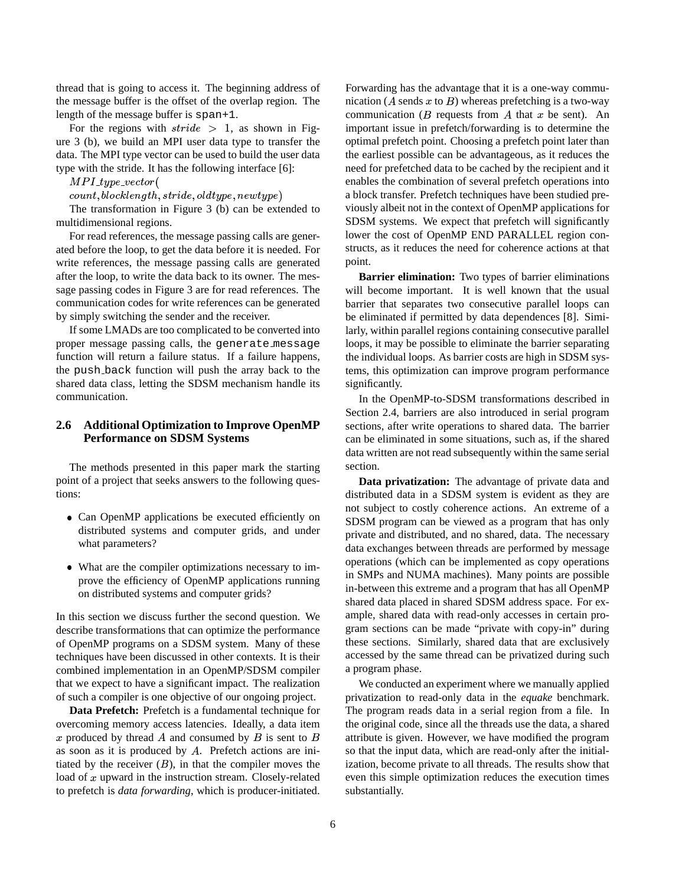thread that is going to access it. The beginning address of the message buffer is the offset of the overlap region. The length of the message buffer is span+1.

For the regions with  $\text{stride} > 1$ , as shown in Figure 3 (b), we build an MPI user data type to transfer the data. The MPI type vector can be used to build the user data type with the stride. It has the following interface [6]:

 $MPI\_type\_vector($ 

 $count, blocklength, stride, old type, new type) \$ 

The transformation in Figure 3 (b) can be extended to multidimensional regions.

For read references, the message passing calls are generated before the loop, to get the data before it is needed. For write references, the message passing calls are generated after the loop, to write the data back to its owner. The message passing codes in Figure 3 are for read references. The communication codes for write references can be generated by simply switching the sender and the receiver.

If some LMADs are too complicated to be converted into proper message passing calls, the generate message function will return a failure status. If a failure happens, the push back function will push the array back to the shared data class, letting the SDSM mechanism handle its communication.

# **2.6 Additional Optimization to Improve OpenMP Performance on SDSM Systems**

The methods presented in this paper mark the starting point of a project that seeks answers to the following questions:

- Can OpenMP applications be executed efficiently on distributed systems and computer grids, and under what parameters?
- <sup>4</sup> What are the compiler optimizations necessary to improve the efficiency of OpenMP applications running on distributed systems and computer grids?

In this section we discuss further the second question. We describe transformations that can optimize the performance of OpenMP programs on a SDSM system. Many of these techniques have been discussed in other contexts. It is their combined implementation in an OpenMP/SDSM compiler that we expect to have a significant impact. The realization of such a compiler is one objective of our ongoing project.

**Data Prefetch:** Prefetch is a fundamental technique for overcoming memory access latencies. Ideally, a data item x produced by thread A and consumed by  $\hat{B}$  is sent to  $\hat{B}$ as soon as it is produced by  $A$ . Prefetch actions are initiated by the receiver  $(B)$ , in that the compiler moves the load of  $x$  upward in the instruction stream. Closely-related to prefetch is *data forwarding*, which is producer-initiated.

Forwarding has the advantage that it is a one-way communication ( $\overline{A}$  sends  $x$  to  $\overline{B}$ ) whereas prefetching is a two-way communication ( $B$  requests from  $A$  that  $x$  be sent). An important issue in prefetch/forwarding is to determine the optimal prefetch point. Choosing a prefetch point later than the earliest possible can be advantageous, as it reduces the need for prefetched data to be cached by the recipient and it enables the combination of several prefetch operations into a block transfer. Prefetch techniques have been studied previously albeit not in the context of OpenMP applications for SDSM systems. We expect that prefetch will significantly lower the cost of OpenMP END PARALLEL region constructs, as it reduces the need for coherence actions at that point.

**Barrier elimination:** Two types of barrier eliminations will become important. It is well known that the usual barrier that separates two consecutive parallel loops can be eliminated if permitted by data dependences [8]. Similarly, within parallel regions containing consecutive parallel loops, it may be possible to eliminate the barrier separating the individual loops. As barrier costs are high in SDSM systems, this optimization can improve program performance significantly.

In the OpenMP-to-SDSM transformations described in Section 2.4, barriers are also introduced in serial program sections, after write operations to shared data. The barrier can be eliminated in some situations, such as, if the shared data written are not read subsequently within the same serial section.

**Data privatization:** The advantage of private data and distributed data in a SDSM system is evident as they are not subject to costly coherence actions. An extreme of a SDSM program can be viewed as a program that has only private and distributed, and no shared, data. The necessary data exchanges between threads are performed by message operations (which can be implemented as copy operations in SMPs and NUMA machines). Many points are possible in-between this extreme and a program that has all OpenMP shared data placed in shared SDSM address space. For example, shared data with read-only accesses in certain program sections can be made "private with copy-in" during these sections. Similarly, shared data that are exclusively accessed by the same thread can be privatized during such a program phase.

We conducted an experiment where we manually applied privatization to read-only data in the *equake* benchmark. The program reads data in a serial region from a file. In the original code, since all the threads use the data, a shared attribute is given. However, we have modified the program so that the input data, which are read-only after the initialization, become private to all threads. The results show that even this simple optimization reduces the execution times substantially.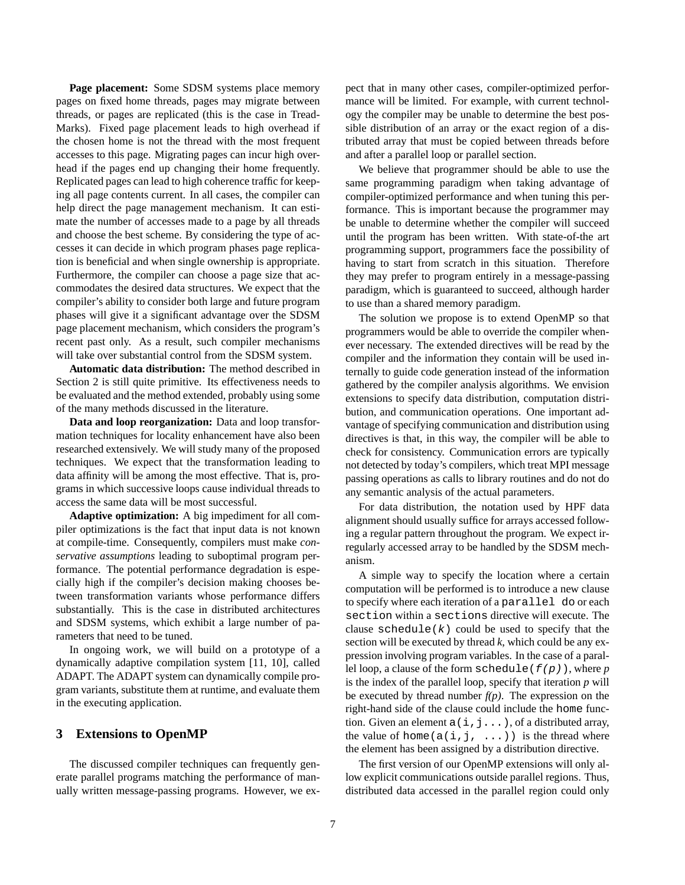**Page placement:** Some SDSM systems place memory pages on fixed home threads, pages may migrate between threads, or pages are replicated (this is the case in Tread-Marks). Fixed page placement leads to high overhead if the chosen home is not the thread with the most frequent accesses to this page. Migrating pages can incur high overhead if the pages end up changing their home frequently. Replicated pages can lead to high coherence traffic for keeping all page contents current. In all cases, the compiler can help direct the page management mechanism. It can estimate the number of accesses made to a page by all threads and choose the best scheme. By considering the type of accesses it can decide in which program phases page replication is beneficial and when single ownership is appropriate. Furthermore, the compiler can choose a page size that accommodates the desired data structures. We expect that the compiler's ability to consider both large and future program phases will give it a significant advantage over the SDSM page placement mechanism, which considers the program's recent past only. As a result, such compiler mechanisms will take over substantial control from the SDSM system.

**Automatic data distribution:** The method described in Section 2 is still quite primitive. Its effectiveness needs to be evaluated and the method extended, probably using some of the many methods discussed in the literature.

**Data and loop reorganization:** Data and loop transformation techniques for locality enhancement have also been researched extensively. We will study many of the proposed techniques. We expect that the transformation leading to data affinity will be among the most effective. That is, programs in which successive loops cause individual threads to access the same data will be most successful.

**Adaptive optimization:** A big impediment for all compiler optimizations is the fact that input data is not known at compile-time. Consequently, compilers must make *conservative assumptions* leading to suboptimal program performance. The potential performance degradation is especially high if the compiler's decision making chooses between transformation variants whose performance differs substantially. This is the case in distributed architectures and SDSM systems, which exhibit a large number of parameters that need to be tuned.

In ongoing work, we will build on a prototype of a dynamically adaptive compilation system [11, 10], called ADAPT. The ADAPT system can dynamically compile program variants, substitute them at runtime, and evaluate them in the executing application.

# **3 Extensions to OpenMP**

The discussed compiler techniques can frequently generate parallel programs matching the performance of manually written message-passing programs. However, we expect that in many other cases, compiler-optimized performance will be limited. For example, with current technology the compiler may be unable to determine the best possible distribution of an array or the exact region of a distributed array that must be copied between threads before and after a parallel loop or parallel section.

We believe that programmer should be able to use the same programming paradigm when taking advantage of compiler-optimized performance and when tuning this performance. This is important because the programmer may be unable to determine whether the compiler will succeed until the program has been written. With state-of-the art programming support, programmers face the possibility of having to start from scratch in this situation. Therefore they may prefer to program entirely in a message-passing paradigm, which is guaranteed to succeed, although harder to use than a shared memory paradigm.

The solution we propose is to extend OpenMP so that programmers would be able to override the compiler whenever necessary. The extended directives will be read by the compiler and the information they contain will be used internally to guide code generation instead of the information gathered by the compiler analysis algorithms. We envision extensions to specify data distribution, computation distribution, and communication operations. One important advantage of specifying communication and distribution using directives is that, in this way, the compiler will be able to check for consistency. Communication errors are typically not detected by today's compilers, which treat MPI message passing operations as calls to library routines and do not do any semantic analysis of the actual parameters.

For data distribution, the notation used by HPF data alignment should usually suffice for arrays accessed following a regular pattern throughout the program. We expect irregularly accessed array to be handled by the SDSM mechanism.

A simple way to specify the location where a certain computation will be performed is to introduce a new clause to specify where each iteration of a parallel do or each section within a sections directive will execute. The clause schedule( $k$ ) could be used to specify that the section will be executed by thread *k*, which could be any expression involving program variables. In the case of a parallel loop, a clause of the form schedule(f(p)), where *p* is the index of the parallel loop, specify that iteration *p* will be executed by thread number *f(p)*. The expression on the right-hand side of the clause could include the home function. Given an element  $a(i,j...),$  of a distributed array, the value of home( $a(i,j, \ldots)$ ) is the thread where the element has been assigned by a distribution directive.

The first version of our OpenMP extensions will only allow explicit communications outside parallel regions. Thus, distributed data accessed in the parallel region could only